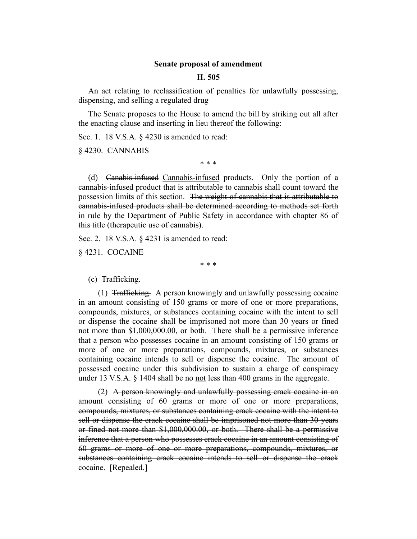## **Senate proposal of amendment**

## **H. 505**

An act relating to reclassification of penalties for unlawfully possessing, dispensing, and selling a regulated drug

The Senate proposes to the House to amend the bill by striking out all after the enacting clause and inserting in lieu thereof the following:

Sec. 1. 18 V.S.A. § 4230 is amended to read:

§ 4230. CANNABIS

\* \* \*

(d) Canabis-infused Cannabis-infused products. Only the portion of a cannabis-infused product that is attributable to cannabis shall count toward the possession limits of this section. The weight of cannabis that is attributable to cannabis-infused products shall be determined according to methods set forth in rule by the Department of Public Safety in accordance with chapter 86 of this title (therapeutic use of cannabis).

Sec. 2. 18 V.S.A. § 4231 is amended to read:

§ 4231. COCAINE

\* \* \*

(c) Trafficking.

 $(1)$  Trafficking. A person knowingly and unlawfully possessing cocaine in an amount consisting of 150 grams or more of one or more preparations, compounds, mixtures, or substances containing cocaine with the intent to sell or dispense the cocaine shall be imprisoned not more than 30 years or fined not more than \$1,000,000.00, or both. There shall be a permissive inference that a person who possesses cocaine in an amount consisting of 150 grams or more of one or more preparations, compounds, mixtures, or substances containing cocaine intends to sell or dispense the cocaine. The amount of possessed cocaine under this subdivision to sustain a charge of conspiracy under 13 V.S.A.  $\S$  1404 shall be no not less than 400 grams in the aggregate.

(2) A person knowingly and unlawfully possessing crack cocaine in an amount consisting of 60 grams or more of one or more preparations, compounds, mixtures, or substances containing crack cocaine with the intent to sell or dispense the crack cocaine shall be imprisoned not more than 30 years or fined not more than \$1,000,000.00, or both. There shall be a permissive inference that a person who possesses crack cocaine in an amount consisting of 60 grams or more of one or more preparations, compounds, mixtures, or substances containing crack cocaine intends to sell or dispense the crack cocaine. [Repealed.]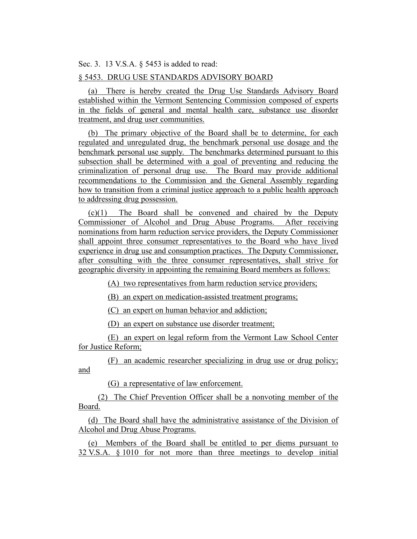Sec. 3. 13 V.S.A. § 5453 is added to read:

## § 5453. DRUG USE STANDARDS ADVISORY BOARD

(a) There is hereby created the Drug Use Standards Advisory Board established within the Vermont Sentencing Commission composed of experts in the fields of general and mental health care, substance use disorder treatment, and drug user communities.

(b) The primary objective of the Board shall be to determine, for each regulated and unregulated drug, the benchmark personal use dosage and the benchmark personal use supply. The benchmarks determined pursuant to this subsection shall be determined with a goal of preventing and reducing the criminalization of personal drug use. The Board may provide additional recommendations to the Commission and the General Assembly regarding how to transition from a criminal justice approach to a public health approach to addressing drug possession.

(c)(1) The Board shall be convened and chaired by the Deputy Commissioner of Alcohol and Drug Abuse Programs. After receiving nominations from harm reduction service providers, the Deputy Commissioner shall appoint three consumer representatives to the Board who have lived experience in drug use and consumption practices. The Deputy Commissioner, after consulting with the three consumer representatives, shall strive for geographic diversity in appointing the remaining Board members as follows:

(A) two representatives from harm reduction service providers;

(B) an expert on medication-assisted treatment programs;

(C) an expert on human behavior and addiction;

(D) an expert on substance use disorder treatment;

(E) an expert on legal reform from the Vermont Law School Center for Justice Reform;

(F) an academic researcher specializing in drug use or drug policy; and

(G) a representative of law enforcement.

(2) The Chief Prevention Officer shall be a nonvoting member of the Board.

(d) The Board shall have the administrative assistance of the Division of Alcohol and Drug Abuse Programs.

(e) Members of the Board shall be entitled to per diems pursuant to 32 V.S.A. § 1010 for not more than three meetings to develop initial